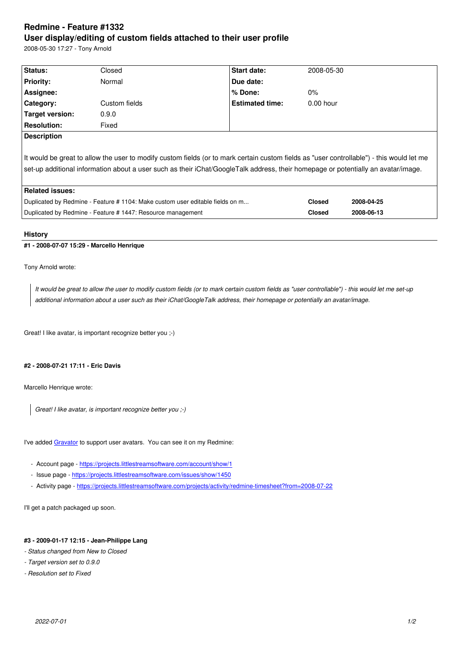#### **User display/editing of custom fields attached to their user profile**

2008-05-30 17:27 - Tony Arnold

| Status:                                                                                                                                                                                                                                                                        | Closed        | Start date:            | 2008-05-30    |            |
|--------------------------------------------------------------------------------------------------------------------------------------------------------------------------------------------------------------------------------------------------------------------------------|---------------|------------------------|---------------|------------|
| <b>Priority:</b>                                                                                                                                                                                                                                                               | Normal        | Due date:              |               |            |
| Assignee:                                                                                                                                                                                                                                                                      |               | % Done:                | $0\%$         |            |
| Category:                                                                                                                                                                                                                                                                      | Custom fields | <b>Estimated time:</b> | $0.00$ hour   |            |
| Target version:                                                                                                                                                                                                                                                                | 0.9.0         |                        |               |            |
| <b>Resolution:</b>                                                                                                                                                                                                                                                             | Fixed         |                        |               |            |
| <b>Description</b>                                                                                                                                                                                                                                                             |               |                        |               |            |
| It would be great to allow the user to modify custom fields (or to mark certain custom fields as "user controllable") - this would let me<br>set-up additional information about a user such as their iChat/GoogleTalk address, their homepage or potentially an avatar/image. |               |                        |               |            |
| <b>Related issues:</b>                                                                                                                                                                                                                                                         |               |                        |               |            |
| Duplicated by Redmine - Feature #1104: Make custom user editable fields on m                                                                                                                                                                                                   |               |                        | <b>Closed</b> | 2008-04-25 |
| Duplicated by Redmine - Feature #1447: Resource management                                                                                                                                                                                                                     |               |                        | <b>Closed</b> | 2008-06-13 |
|                                                                                                                                                                                                                                                                                |               |                        |               |            |

# **History**

## **#1 - 2008-07-07 15:29 - Marcello Henrique**

Tony Arnold wrote:

*It would be great to allow the user to modify custom fields (or to mark certain custom fields as "user controllable") - this would let me set-up additional information about a user such as their iChat/GoogleTalk address, their homepage or potentially an avatar/image.*

Great! I like avatar, is important recognize better you ;-)

## **#2 - 2008-07-21 17:11 - Eric Davis**

Marcello Henrique wrote:

*Great! I like avatar, is important recognize better you ;-)*

I've added Gravator to support user avatars. You can see it on my Redmine:

- Account page https://projects.littlestreamsoftware.com/account/show/1
- Issue [page htt](http://gravatar.com)ps://projects.littlestreamsoftware.com/issues/show/1450
- Activity page https://projects.littlestreamsoftware.com/projects/activity/redmine-timesheet?from=2008-07-22

I'll get a patch pa[ckaged up soon.](https://projects.littlestreamsoftware.com/issues/show/1450)

#### **#3 - 2009-01-17 12:15 - Jean-Philippe Lang**

- *Status changed from New to Closed*
- *Target version set to 0.9.0*
- *Resolution set to Fixed*